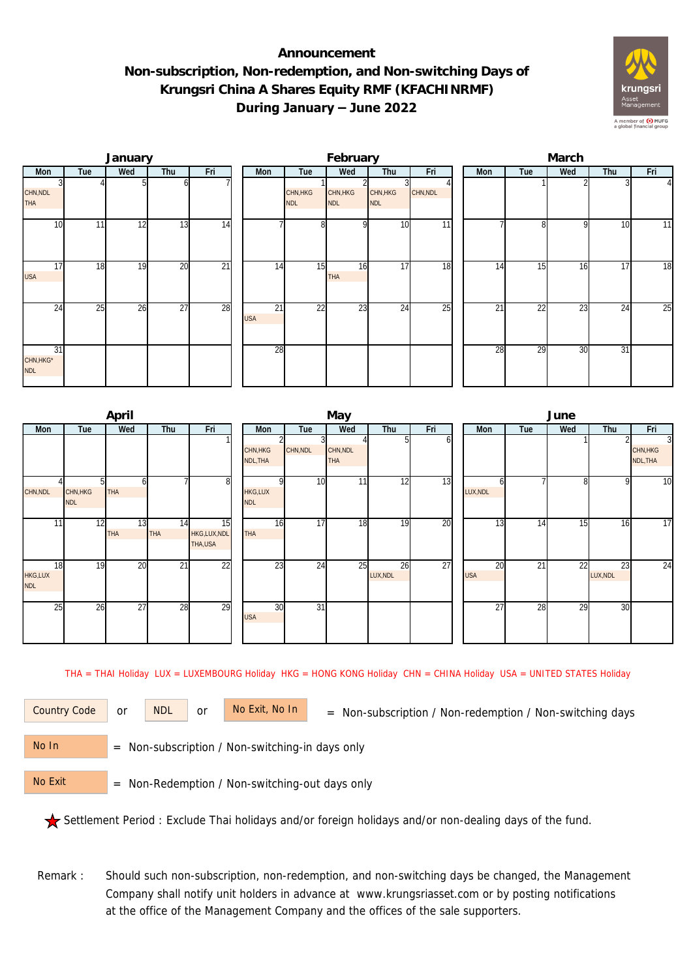## **Announcement Non-subscription, Non-redemption, and Non-switching Days of Krungsri China A Shares Equity RMF (KFACHINRMF) During January – June 2022**



|                               |     | January |     |                 |                  |                        | February               |                        |          | March |     |                 |     |                |  |  |
|-------------------------------|-----|---------|-----|-----------------|------------------|------------------------|------------------------|------------------------|----------|-------|-----|-----------------|-----|----------------|--|--|
| Mon                           | Tue | Wed     | Thu | Fri             | Mon              | Tue                    | Wed                    | Thu                    | Fri      | Mon   | Tue | Wed             | Thu | Fri            |  |  |
| CHN, NDL<br><b>THA</b>        |     |         |     |                 |                  | CHN, HKG<br><b>NDL</b> | CHN, HKG<br><b>NDL</b> | CHN, HKG<br><b>NDL</b> | CHN, NDL |       |     |                 |     | $\overline{4}$ |  |  |
| 10                            | 11  | 12      | 13  | 14              |                  | 8 <sup>1</sup>         | n                      | 10                     | 11       |       | n   | q               | 10  | 11             |  |  |
| $1\overline{7}$<br><b>USA</b> | 18  | 19      | 20  | $\overline{21}$ | 14               | 15                     | 16<br>THA              | 17                     | 18       | 14    | 15  | 16              | 17  | 18             |  |  |
| 24                            | 25  | 26      | 27  | 28              | 21<br><b>USA</b> | 22                     | 23                     | 24                     | 25       | 21    | 22  | $\overline{23}$ | 24  | 25             |  |  |
| 31<br>CHN, HKG*<br><b>NDL</b> |     |         |     |                 | 28               |                        |                        |                        |          | 28    | 29  | 30              | 31  |                |  |  |

|                             |                        | April            |                  |                               |                              |                      | May                    |                |     | June             |     |                 |                |                                        |  |  |
|-----------------------------|------------------------|------------------|------------------|-------------------------------|------------------------------|----------------------|------------------------|----------------|-----|------------------|-----|-----------------|----------------|----------------------------------------|--|--|
| Mon                         | Tue                    | Wed              | Thu              | Fri                           | Mon                          | Tue                  | Wed                    | Thu            | Fri | Mon              | Tue | Wed             | Thu            | Fri                                    |  |  |
|                             |                        |                  |                  |                               | CHN, HKG<br>NDL, THA         | CHN, NDL             | CHN, NDL<br><b>THA</b> |                |     |                  |     |                 |                | $\overline{3}$<br>CHN, HKG<br>NDL, THA |  |  |
| CHN, NDL                    | CHN, HKG<br><b>NDL</b> | THA              |                  | 8                             | <b>HKG,LUX</b><br><b>NDL</b> | 10 <sup>1</sup><br>n | 11 <sub>1</sub>        | 12             | 13  | LUX, NDL         |     | 8               | 9              | 10                                     |  |  |
| 11                          | 12                     | 13<br><b>THA</b> | 14<br><b>THA</b> | 15<br>HKG,LUX,NDL<br>THA, USA | 16<br><b>THA</b>             | 17                   | 18                     | 19             | 20  | 13               | 14  | $1\overline{5}$ | 16             | 17                                     |  |  |
| 18<br>HKG,LUX<br><b>NDL</b> | 19                     | 20               | $\overline{21}$  | 22                            | 23                           | 24                   | 25                     | 26<br>LUX, NDL | 27  | 20<br><b>USA</b> | 21  | 22              | 23<br>LUX, NDL | 24                                     |  |  |
| 25                          | 26                     | 27               | 28               | 29                            | 30<br><b>USA</b>             | $\overline{31}$      |                        |                |     | 27               | 28  | 29              | 30             |                                        |  |  |

THA = THAI Holiday LUX = LUXEMBOURG Holiday HKG = HONG KONG Holiday CHN = CHINA Holiday USA = UNITED STATES Holiday

or NDL or

Country Code or NDL or No Exit, No In = Non-subscription / Non-redemption / Non-switching days

 = Non-subscription / Non-switching-in days only No In

 = Non-Redemption / Non-switching-out days only No Exit

Settlement Period : Exclude Thai holidays and/or foreign holidays and/or non-dealing days of the fund.

Remark : Should such non-subscription, non-redemption, and non-switching days be changed, the Management Company shall notify unit holders in advance at www.krungsriasset.com or by posting notifications at the office of the Management Company and the offices of the sale supporters.